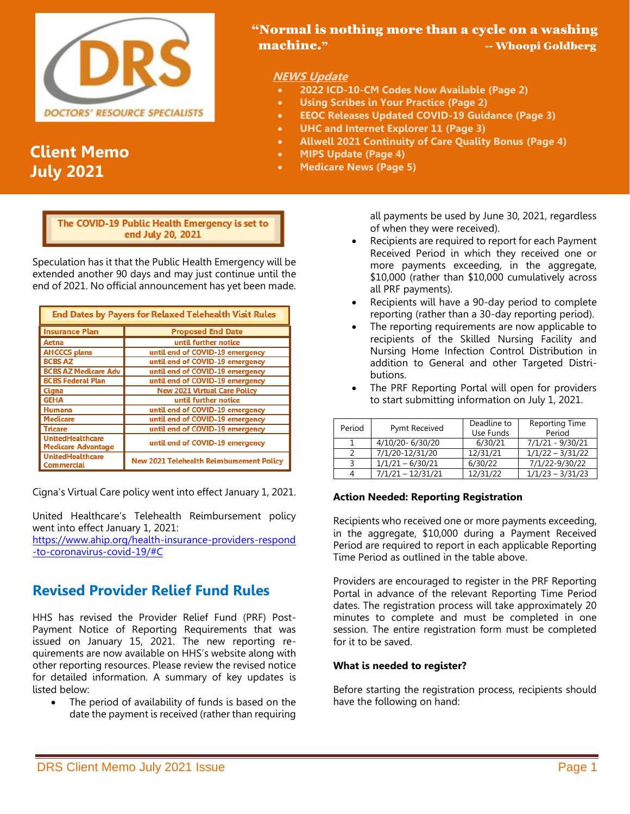

# **Client Memo July 2021**

## "Normal is nothing more than a cycle on a washing machine." --- Whoopi Goldberg

## **NEWS Update**

- **2022 ICD-10-CM Codes Now Available (Page 2)**
- **Using Scribes in Your Practice (Page 2)**
- **EEOC Releases Updated COVID-19 Guidance (Page 3)**
- **UHC and Internet Explorer 11 (Page 3)**
- **Allwell 2021 Continuity of Care Quality Bonus (Page 4)**
- **MIPS Update (Page 4)**
- **Medicare News (Page 5)**

í end July 20, 2021

Speculation has it that the Public Health Emergency will be extended another 90 days and may just continue until the end of 2021. No official announcement has yet been made.

| <b>End Dates by Payers for Relaxed Telehealth Visit Rules</b> |                                                 |  |
|---------------------------------------------------------------|-------------------------------------------------|--|
| <b>Insurance Plan</b>                                         | <b>Proposed End Date</b>                        |  |
| Aetna                                                         | until further notice                            |  |
| <b>AHCCCS plans</b>                                           | until end of COVID-19 emergency                 |  |
| <b>BCBS AZ</b>                                                | until end of COVID-19 emergency                 |  |
| <b>BCBS AZ Medicare Adv</b>                                   | until end of COVID-19 emergency                 |  |
| <b>BCBS Federal Plan</b>                                      | until end of COVID-19 emergency                 |  |
| Cigna                                                         | <b>New 2021 Virtual Care Policy</b>             |  |
| <b>GEHA</b>                                                   | until further notice                            |  |
| Humana                                                        | until end of COVID-19 emergency                 |  |
| <b>Medicare</b>                                               | until end of COVID-19 emergency                 |  |
| <b>Tricare</b>                                                | until end of COVID-19 emergency                 |  |
| <b>UnitedHealthcare</b><br><b>Medicare Advantage</b>          | until end of COVID-19 emergency                 |  |
| <b>UnitedHealthcare</b><br><b>Commercial</b>                  | <b>New 2021 Telehealth Reimbursement Policy</b> |  |

Cigna's Virtual Care policy went into effect January 1, 2021.

United Healthcare's Telehealth Reimbursement policy went into effect January 1, 2021:

[https://www.ahip.org/health-insurance-providers-respond](https://www.ahip.org/health-insurance-providers-respond%20-to-coronavirus-covid-19/#C)  [-to-coronavirus-covid-19/#C](https://www.ahip.org/health-insurance-providers-respond%20-to-coronavirus-covid-19/#C)

## **Revised Provider Relief Fund Rules**

HHS has revised the Provider Relief Fund (PRF) Post-Payment Notice of Reporting Requirements that was issued on January 15, 2021. The new reporting requirements are now available on HHS's website along with other reporting resources. Please review the revised notice for detailed information. A summary of key updates is listed below:

• The period of availability of funds is based on the date the payment is received (rather than requiring

all payments be used by June 30, 2021, regardless of when they were received).

- Recipients are required to report for each Payment Received Period in which they received one or more payments exceeding, in the aggregate, \$10,000 (rather than \$10,000 cumulatively across all PRF payments).
- Recipients will have a 90-day period to complete reporting (rather than a 30-day reporting period).
- The reporting requirements are now applicable to recipients of the Skilled Nursing Facility and Nursing Home Infection Control Distribution in addition to General and other Targeted Distributions.
- The PRF Reporting Portal will open for providers to start submitting information on July 1, 2021.

| Period | Pymt Received       | Deadline to<br>Use Funds | Reporting Time<br>Period |
|--------|---------------------|--------------------------|--------------------------|
|        | 4/10/20-6/30/20     | 6/30/21                  | 7/1/21 - 9/30/21         |
|        | 7/1/20-12/31/20     | 12/31/21                 | $1/1/22 - 3/31/22$       |
|        | $1/1/21 - 6/30/21$  | 6/30/22                  | 7/1/22-9/30/22           |
|        | $7/1/21 - 12/31/21$ | 12/31/22                 | $1/1/23 - 3/31/23$       |

### **Action Needed: Reporting Registration**

Recipients who received one or more payments exceeding, in the aggregate, \$10,000 during a Payment Received Period are required to report in each applicable Reporting Time Period as outlined in the table above.

Providers are encouraged to register in the PRF Reporting Portal in advance of the relevant Reporting Time Period dates. The registration process will take approximately 20 minutes to complete and must be completed in one session. The entire registration form must be completed for it to be saved.

#### **What is needed to register?**

Before starting the registration process, recipients should have the following on hand: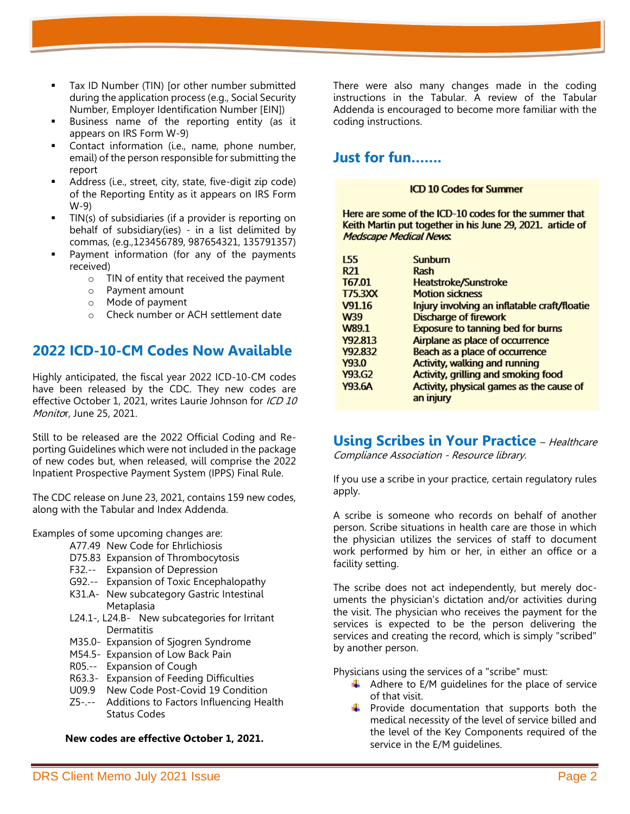- Tax ID Number (TIN) [or other number submitted during the application process (e.g., Social Security Number, Employer Identification Number [EIN])
- Business name of the reporting entity (as it appears on IRS Form W-9)
- Contact information (i.e., name, phone number, email) of the person responsible for submitting the report
- Address (i.e., street, city, state, five-digit zip code) of the Reporting Entity as it appears on IRS Form W-9)
- TIN(s) of subsidiaries (if a provider is reporting on behalf of subsidiary(ies) - in a list delimited by commas, (e.g.,123456789, 987654321, 135791357)
- Payment information (for any of the payments received)
	- o TIN of entity that received the payment
	- o Payment amount
	- o Mode of payment
	- o Check number or ACH settlement date

## **2022 ICD-10-CM Codes Now Available**

Highly anticipated, the fiscal year 2022 ICD-10-CM codes have been released by the CDC. They new codes are effective October 1, 2021, writes Laurie Johnson for ICD 10 Monitor, June 25, 2021.

Still to be released are the 2022 Official Coding and Reporting Guidelines which were not included in the package of new codes but, when released, will comprise the 2022 Inpatient Prospective Payment System (IPPS) Final Rule.

The CDC release on June 23, 2021, contains 159 new codes, along with the Tabular and Index Addenda.

Examples of some upcoming changes are:

- A77.49 New Code for Ehrlichiosis
- D75.83 Expansion of Thrombocytosis
- F32.-- Expansion of Depression
- G92.-- Expansion of Toxic Encephalopathy
- K31.A- New subcategory Gastric Intestinal Metaplasia
- L24.1-, L24.B- New subcategories for Irritant Dermatitis
- M35.0- Expansion of Sjogren Syndrome
- M54.5- Expansion of Low Back Pain
- R05.-- Expansion of Cough
- R63.3- Expansion of Feeding Difficulties
- U09.9 New Code Post-Covid 19 Condition
- Z5-.-- Additions to Factors Influencing Health Status Codes

#### **New codes are effective October 1, 2021.**

There were also many changes made in the coding instructions in the Tabular. A review of the Tabular Addenda is encouraged to become more familiar with the coding instructions.

## **Just for fun…….**

#### **ICD 10 Codes for Summer**

Here are some of the ICD-10 codes for the summer that Keith Martin put together in his June 29, 2021. article of **Medscape Medical News.** 

| 155             | Sunburn                                      |
|-----------------|----------------------------------------------|
| R <sub>21</sub> | Rash                                         |
| T67.01          | <b>Heatstroke/Sunstroke</b>                  |
| T/5.3XX         | <b>Motion sickness</b>                       |
| V91.16          | Injury involving an inflatable craft/floatie |
| W39             | <b>Discharge of firework</b>                 |
| W89.1           | <b>Exposure to tanning bed for burns</b>     |
| Y92.813         | Airplane as place of occurrence              |
| Y92.832         | Beach as a place of occurrence               |
| Y93.0           | <b>Activity, walking and running</b>         |
| Y93.G2          | <b>Activity, grilling and smoking food</b>   |
| Y93.6A          | Activity, physical games as the cause of     |
|                 | an injury                                    |

## **Using Scribes in Your Practice** - Healthcare

Compliance Association - Resource library.

If you use a scribe in your practice, certain regulatory rules apply.

A scribe is someone who records on behalf of another person. Scribe situations in health care are those in which the physician utilizes the services of staff to document work performed by him or her, in either an office or a facility setting.

The scribe does not act independently, but merely documents the physician's dictation and/or activities during the visit. The physician who receives the payment for the services is expected to be the person delivering the services and creating the record, which is simply "scribed" by another person.

Physicians using the services of a "scribe" must:

- $\downarrow$  Adhere to E/M guidelines for the place of service of that visit.
- $\ddot{+}$  Provide documentation that supports both the medical necessity of the level of service billed and the level of the Key Components required of the service in the E/M guidelines.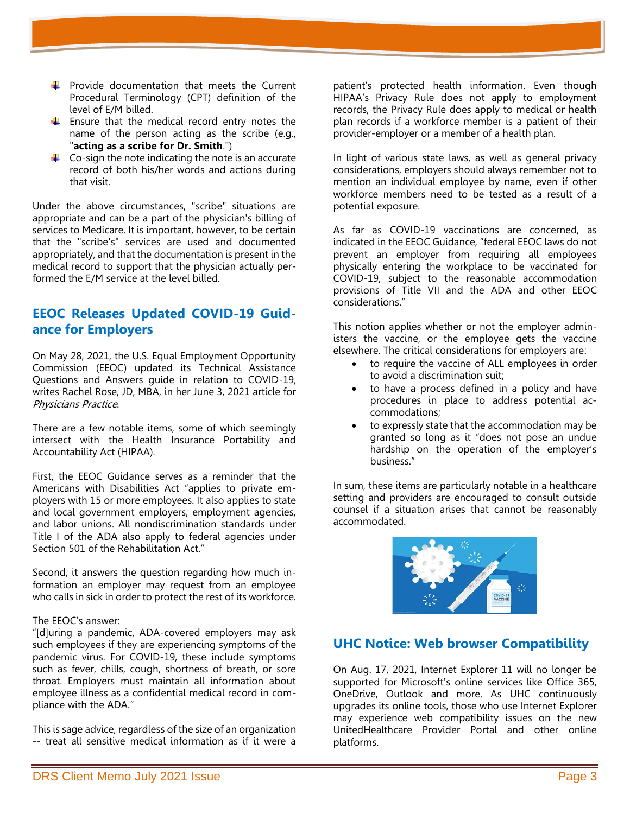- $\uparrow$  Provide documentation that meets the Current Procedural Terminology (CPT) definition of the level of E/M billed.
- $\uparrow$  Ensure that the medical record entry notes the name of the person acting as the scribe (e.g., "**acting as a scribe for Dr. Smith**.")
- $\uparrow$  Co-sign the note indicating the note is an accurate record of both his/her words and actions during that visit.

Under the above circumstances, "scribe" situations are appropriate and can be a part of the physician's billing of services to Medicare. It is important, however, to be certain that the "scribe's" services are used and documented appropriately, and that the documentation is present in the medical record to support that the physician actually performed the E/M service at the level billed.

## **EEOC Releases Updated COVID-19 Guidance for Employers**

On May 28, 2021, the U.S. Equal Employment Opportunity Commission (EEOC) updated its Technical Assistance Questions and Answers guide in relation to COVID-19, writes Rachel Rose, JD, MBA, in her June 3, 2021 article for Physicians Practice.

There are a few notable items, some of which seemingly intersect with the Health Insurance Portability and Accountability Act (HIPAA).

First, the EEOC Guidance serves as a reminder that the Americans with Disabilities Act "applies to private employers with 15 or more employees. It also applies to state and local government employers, employment agencies, and labor unions. All nondiscrimination standards under Title I of the ADA also apply to federal agencies under Section 501 of the Rehabilitation Act."

Second, it answers the question regarding how much information an employer may request from an employee who calls in sick in order to protect the rest of its workforce.

#### The EEOC's answer:

"[d]uring a pandemic, ADA-covered employers may ask such employees if they are experiencing symptoms of the pandemic virus. For COVID-19, these include symptoms such as fever, chills, cough, shortness of breath, or sore throat. Employers must maintain all information about employee illness as a confidential medical record in compliance with the ADA."

This is sage advice, regardless of the size of an organization -- treat all sensitive medical information as if it were a

patient's protected health information. Even though HIPAA's Privacy Rule does not apply to employment records, the Privacy Rule does apply to medical or health plan records if a workforce member is a patient of their provider-employer or a member of a health plan.

In light of various state laws, as well as general privacy considerations, employers should always remember not to mention an individual employee by name, even if other workforce members need to be tested as a result of a potential exposure.

As far as COVID-19 vaccinations are concerned, as indicated in the EEOC Guidance, "federal EEOC laws do not prevent an employer from requiring all employees physically entering the workplace to be vaccinated for COVID-19, subject to the reasonable accommodation provisions of Title VII and the ADA and other EEOC considerations."

This notion applies whether or not the employer administers the vaccine, or the employee gets the vaccine elsewhere. The critical considerations for employers are:

- to require the vaccine of ALL employees in order to avoid a discrimination suit;
- to have a process defined in a policy and have procedures in place to address potential accommodations;
- to expressly state that the accommodation may be granted so long as it "does not pose an undue hardship on the operation of the employer's business."

In sum, these items are particularly notable in a healthcare setting and providers are encouraged to consult outside counsel if a situation arises that cannot be reasonably accommodated.



## **UHC Notice: Web browser Compatibility**

On Aug. 17, 2021, Internet Explorer 11 will no longer be supported for Microsoft's online services like Office 365, OneDrive, Outlook and more. As UHC continuously upgrades its online tools, those who use Internet Explorer may experience web compatibility issues on the new UnitedHealthcare Provider Portal and other online platforms.

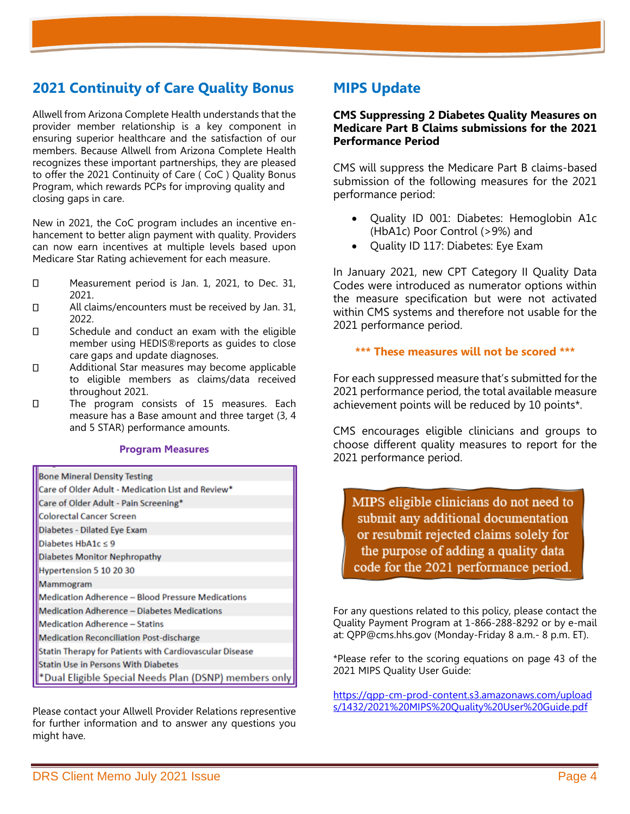## **2021 Continuity of Care Quality Bonus**

Allwell from Arizona Complete Health understands that the provider member relationship is a key component in ensuring superior healthcare and the satisfaction of our members. Because Allwell from Arizona Complete Health recognizes these important partnerships, they are pleased to offer the 2021 Continuity of Care ( CoC ) Quality Bonus Program, which rewards PCPs for improving quality and closing gaps in care.

New in 2021, the CoC program includes an incentive enhancement to better align payment with quality. Providers can now earn incentives at multiple levels based upon Medicare Star Rating achievement for each measure.

- $\Box$ Measurement period is Jan. 1, 2021, to Dec. 31, 2021.
- $\Box$ All claims/encounters must be received by Jan. 31, 2022.
- $\Box$ Schedule and conduct an exam with the eligible member using HEDIS®reports as guides to close care gaps and update diagnoses.
- $\Box$ Additional Star measures may become applicable to eligible members as claims/data received throughout 2021.
- $\Box$ The program consists of 15 measures. Each measure has a Base amount and three target (3, 4 and 5 STAR) performance amounts.

#### **Program Measures**

| <b>Bone Mineral Density Testing</b>                     |
|---------------------------------------------------------|
| Care of Older Adult - Medication List and Review*       |
| Care of Older Adult - Pain Screening*                   |
| <b>Colorectal Cancer Screen</b>                         |
| Diabetes - Dilated Eye Exam                             |
| Diabetes HbA1c ≤ 9                                      |
| <b>Diabetes Monitor Nephropathy</b>                     |
| Hypertension 5 10 20 30                                 |
| Mammogram                                               |
| Medication Adherence - Blood Pressure Medications       |
| Medication Adherence - Diabetes Medications             |
| <b>Medication Adherence - Statins</b>                   |
| <b>Medication Reconciliation Post-discharge</b>         |
| Statin Therapy for Patients with Cardiovascular Disease |
| <b>Statin Use in Persons With Diabetes</b>              |
| *Dual Eligible Special Needs Plan (DSNP) members only   |

Please contact your Allwell Provider Relations representive for further information and to answer any questions you might have.

## **MIPS Update**

### **CMS Suppressing 2 Diabetes Quality Measures on Medicare Part B Claims submissions for the 2021 Performance Period**

CMS will suppress the Medicare Part B claims-based submission of the following measures for the 2021 performance period:

- Quality ID 001: Diabetes: Hemoglobin A1c (HbA1c) Poor Control (>9%) and
- Quality ID 117: Diabetes: Eye Exam

In January 2021, new CPT Category II Quality Data Codes were introduced as numerator options within the measure specification but were not activated within CMS systems and therefore not usable for the 2021 performance period.

## **\*\*\* These measures will not be scored \*\*\***

For each suppressed measure that's submitted for the 2021 performance period, the total available measure achievement points will be reduced by 10 points\*.

CMS encourages eligible clinicians and groups to choose different quality measures to report for the 2021 performance period.

MIPS eligible clinicians do not need to submit any additional documentation or resubmit rejected claims solely for the purpose of adding a quality data code for the 2021 performance period.

For any questions related to this policy, please contact the Quality Payment Program at 1-866-288-8292 or by e-mail at: QPP@cms.hhs.gov (Monday-Friday 8 a.m.- 8 p.m. ET).

\*Please refer to the scoring equations on page 43 of the 2021 MIPS Quality User Guide:

<https://qpp-cm-prod-content.s3.amazonaws.com/upload> [s/1432/2021%20MIPS%20Quality%20User%20Guide.pdf](https://qpp-cm-prod-content.s3.amazonaws.com/upload)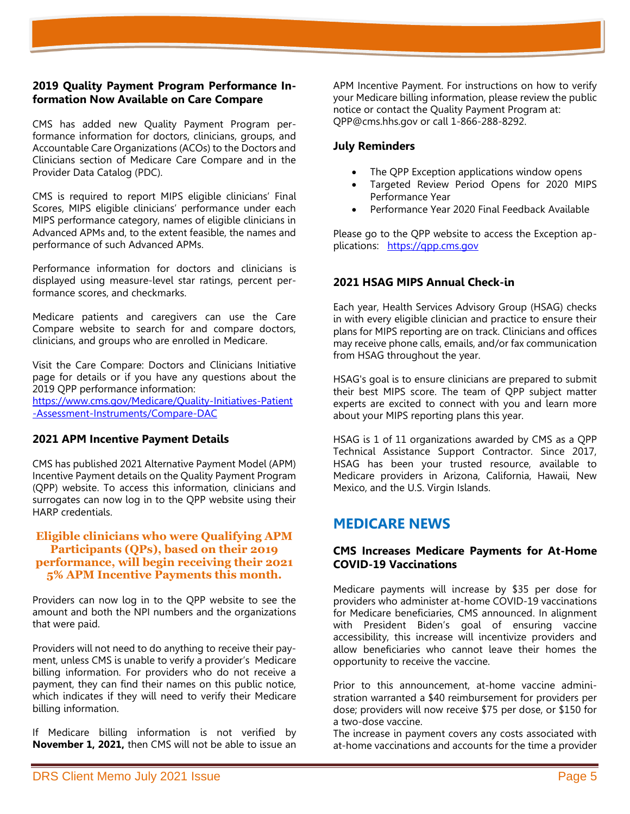### **2019 Quality Payment Program Performance Information Now Available on Care Compare**

CMS has added new Quality Payment Program performance information for doctors, clinicians, groups, and Accountable Care Organizations (ACOs) to the Doctors and Clinicians section of Medicare Care Compare and in the Provider Data Catalog (PDC).

CMS is required to report MIPS eligible clinicians' Final Scores, MIPS eligible clinicians' performance under each MIPS performance category, names of eligible clinicians in Advanced APMs and, to the extent feasible, the names and performance of such Advanced APMs.

Performance information for doctors and clinicians is displayed using measure-level star ratings, percent performance scores, and checkmarks.

Medicare patients and caregivers can use the Care Compare website to search for and compare doctors, clinicians, and groups who are enrolled in Medicare.

Visit the Care Compare: Doctors and Clinicians Initiative page for details or if you have any questions about the 2019 QPP performance information:

[https://www.cms.gov/Medicare/Quality-Initiatives-Patient](https://www.cms.gov/Medicare/Quality-Initiatives-Patient%20-Assessment-Instruments/Compare-DAC)  [-Assessment-Instruments/Compare-DAC](https://www.cms.gov/Medicare/Quality-Initiatives-Patient%20-Assessment-Instruments/Compare-DAC)

### **2021 APM Incentive Payment Details**

CMS has published 2021 Alternative Payment Model (APM) Incentive Payment details on the Quality Payment Program (QPP) website. To access this information, clinicians and surrogates can now log in to the QPP website using their HARP credentials.

### **Eligible clinicians who were Qualifying APM Participants (QPs), based on their 2019 performance, will begin receiving their 2021 5% APM Incentive Payments this month.**

Providers can now log in to the QPP website to see the amount and both the NPI numbers and the organizations that were paid.

Providers will not need to do anything to receive their payment, unless CMS is unable to verify a provider's Medicare billing information. For providers who do not receive a payment, they can find their names on this public notice, which indicates if they will need to verify their Medicare billing information.

If Medicare billing information is not verified by **November 1, 2021,** then CMS will not be able to issue an

APM Incentive Payment. For instructions on how to verify your Medicare billing information, please review the public notice or contact the Quality Payment Program at: QPP@cms.hhs.gov or call 1-866-288-8292.

### **July Reminders**

- The QPP Exception applications window opens
- Targeted Review Period Opens for 2020 MIPS Performance Year
- Performance Year 2020 Final Feedback Available

Please go to the QPP website to access the Exception applications: [https://qpp.cms.gov](https://qpp.cms.gov/)

## **2021 HSAG MIPS Annual Check-in**

Each year, Health Services Advisory Group (HSAG) checks in with every eligible clinician and practice to ensure their plans for MIPS reporting are on track. Clinicians and offices may receive phone calls, emails, and/or fax communication from HSAG throughout the year.

HSAG's goal is to ensure clinicians are prepared to submit their best MIPS score. The team of QPP subject matter experts are excited to connect with you and learn more about your MIPS reporting plans this year.

HSAG is 1 of 11 organizations awarded by CMS as a QPP Technical Assistance Support Contractor. Since 2017, HSAG has been your trusted resource, available to Medicare providers in Arizona, California, Hawaii, New Mexico, and the U.S. Virgin Islands.

## **MEDICARE NEWS**

### **CMS Increases Medicare Payments for At-Home COVID-19 Vaccinations**

Medicare payments will increase by \$35 per dose for providers who administer at-home COVID-19 vaccinations for Medicare beneficiaries, CMS announced. In alignment with President Biden's goal of ensuring vaccine accessibility, this increase will incentivize providers and allow beneficiaries who cannot leave their homes the opportunity to receive the vaccine.

Prior to this announcement, at-home vaccine administration warranted a \$40 reimbursement for providers per dose; providers will now receive \$75 per dose, or \$150 for a two-dose vaccine.

The increase in payment covers any costs associated with at-home vaccinations and accounts for the time a provider